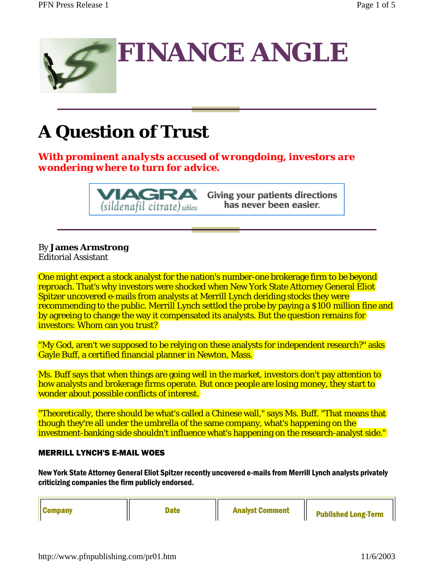

## **A Question of Trust**

*With prominent analysts accused of wrongdoing, investors are wondering where to turn for advice.*

(sildenafil citrate) tablets

Giving your patients directions has never been easier.

### By **James Armstrong**

Editorial Assistant

One might expect a stock analyst for the nation's number-one brokerage firm to be beyond reproach. That's why investors were shocked when New York State Attorney General Eliot Spitzer uncovered e-mails from analysts at Merrill Lynch deriding stocks they were recommending to the public. Merrill Lynch settled the probe by paying a \$100 million fine and by agreeing to change the way it compensated its analysts. But the question remains for investors: Whom can you trust?

"My God, aren't we supposed to be relying on these analysts for independent research?" asks Gayle Buff, a certified financial planner in Newton, Mass.

Ms. Buff says that when things are going well in the market, investors don't pay attention to how analysts and brokerage firms operate. But once people are losing money, they start to wonder about possible conflicts of interest.

"Theoretically, there should be what's called a Chinese wall," says Ms. Buff. "That means that though they're all under the umbrella of the same company, what's happening on the investment-banking side shouldn't influence what's happening on the research-analyst side."

#### MERRILL LYNCH'S E-MAIL WOES

New York State Attorney General Eliot Spitzer recently uncovered e-mails from Merrill Lynch analysts privately criticizing companies the firm publicly endorsed.

| <b>Company</b><br><b>Date</b> | <b>Analyst Comment</b> | <b>Published Long-Term</b> |
|-------------------------------|------------------------|----------------------------|
|-------------------------------|------------------------|----------------------------|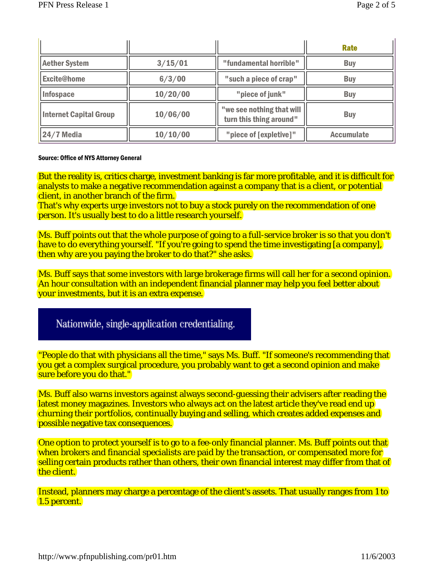|                               |          |                                                      | <b>Rate</b>       |
|-------------------------------|----------|------------------------------------------------------|-------------------|
| <b>Aether System</b>          | 3/15/01  | "fundamental horrible"                               | <b>Buy</b>        |
| <b>Excite@home</b>            | 6/3/00   | "such a piece of crap"                               | <b>Buy</b>        |
| Infospace                     | 10/20/00 | "piece of junk"                                      | <b>Buy</b>        |
| <b>Internet Capital Group</b> | 10/06/00 | "we see nothing that will<br>turn this thing around" | <b>Buy</b>        |
| $24/7$ Media                  | 10/10/00 | "piece of [expletive]"                               | <b>Accumulate</b> |

#### Source: Office of NYS Attorney General

But the reality is, critics charge, investment banking is far more profitable, and it is difficult for analysts to make a negative recommendation against a company that is a client, or potential client, in another branch of the firm.

That's why experts urge investors not to buy a stock purely on the recommendation of one person. It's usually best to do a little research yourself.

Ms. Buff points out that the whole purpose of going to a full-service broker is so that you don't have to do everything yourself. "If you're going to spend the time investigating [a company], then why are you paying the broker to do that?" she asks.

Ms. Buff says that some investors with large brokerage firms will call her for a second opinion. An hour consultation with an independent financial planner may help you feel better about your investments, but it is an extra expense.

#### Nationwide, single-application credentialing.

"People do that with physicians all the time," says Ms. Buff. "If someone's recommending that you get a complex surgical procedure, you probably want to get a second opinion and make sure before you do that."

Ms. Buff also warns investors against always second-guessing their advisers after reading the latest money magazines. Investors who always act on the latest article they've read end up churning their portfolios, continually buying and selling, which creates added expenses and possible negative tax consequences.

One option to protect yourself is to go to a fee-only financial planner. Ms. Buff points out that when brokers and financial specialists are paid by the transaction, or compensated more for selling certain products rather than others, their own financial interest may differ from that of the client.

Instead, planners may charge a percentage of the client's assets. That usually ranges from 1 to 1.5 percent.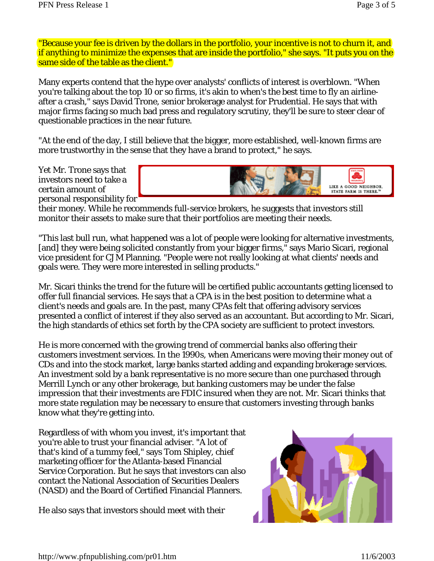"Because your fee is driven by the dollars in the portfolio, your incentive is not to churn it, and if anything to minimize the expenses that are inside the portfolio," she says. "It puts you on the same side of the table as the client."

Many experts contend that the hype over analysts' conflicts of interest is overblown. "When you're talking about the top 10 or so firms, it's akin to when's the best time to fly an airlineafter a crash," says David Trone, senior brokerage analyst for Prudential. He says that with major firms facing so much bad press and regulatory scrutiny, they'll be sure to steer clear of questionable practices in the near future.

"At the end of the day, I still believe that the bigger, more established, well-known firms are more trustworthy in the sense that they have a brand to protect," he says.

Yet Mr. Trone says that investors need to take a certain amount of personal responsibility for



their money. While he recommends full-service brokers, he suggests that investors still monitor their assets to make sure that their portfolios are meeting their needs.

"This last bull run, what happened was a lot of people were looking for alternative investments, [and] they were being solicited constantly from your bigger firms," says Mario Sicari, regional vice president for CJM Planning. "People were not really looking at what clients' needs and goals were. They were more interested in selling products."

Mr. Sicari thinks the trend for the future will be certified public accountants getting licensed to offer full financial services. He says that a CPA is in the best position to determine what a client's needs and goals are. In the past, many CPAs felt that offering advisory services presented a conflict of interest if they also served as an accountant. But according to Mr. Sicari, the high standards of ethics set forth by the CPA society are sufficient to protect investors.

He is more concerned with the growing trend of commercial banks also offering their customers investment services. In the 1990s, when Americans were moving their money out of CDs and into the stock market, large banks started adding and expanding brokerage services. An investment sold by a bank representative is no more secure than one purchased through Merrill Lynch or any other brokerage, but banking customers may be under the false impression that their investments are FDIC insured when they are not. Mr. Sicari thinks that more state regulation may be necessary to ensure that customers investing through banks know what they're getting into.

Regardless of with whom you invest, it's important that you're able to trust your financial adviser. "A lot of that's kind of a tummy feel," says Tom Shipley, chief marketing officer for the Atlanta-based Financial Service Corporation. But he says that investors can also contact the National Association of Securities Dealers (NASD) and the Board of Certified Financial Planners.

He also says that investors should meet with their

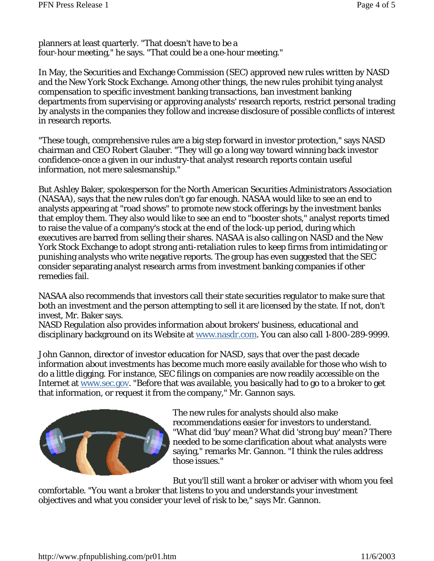planners at least quarterly. "That doesn't have to be a four-hour meeting," he says. "That could be a one-hour meeting."

In May, the Securities and Exchange Commission (SEC) approved new rules written by NASD and the New York Stock Exchange. Among other things, the new rules prohibit tying analyst compensation to specific investment banking transactions, ban investment banking departments from supervising or approving analysts' research reports, restrict personal trading by analysts in the companies they follow and increase disclosure of possible conflicts of interest in research reports.

"These tough, comprehensive rules are a big step forward in investor protection," says NASD chairman and CEO Robert Glauber. "They will go a long way toward winning back investor confidence-once a given in our industry-that analyst research reports contain useful information, not mere salesmanship."

But Ashley Baker, spokesperson for the North American Securities Administrators Association (NASAA), says that the new rules don't go far enough. NASAA would like to see an end to analysts appearing at "road shows" to promote new stock offerings by the investment banks that employ them. They also would like to see an end to "booster shots," analyst reports timed to raise the value of a company's stock at the end of the lock-up period, during which executives are barred from selling their shares. NASAA is also calling on NASD and the New York Stock Exchange to adopt strong anti-retaliation rules to keep firms from intimidating or punishing analysts who write negative reports. The group has even suggested that the SEC consider separating analyst research arms from investment banking companies if other remedies fail.

NASAA also recommends that investors call their state securities regulator to make sure that both an investment and the person attempting to sell it are licensed by the state. If not, don't invest, Mr. Baker says.

NASD Regulation also provides information about brokers' business, educational and disciplinary background on its Website at www.nasdr.com. You can also call 1-800-289-9999.

John Gannon, director of investor education for NASD, says that over the past decade information about investments has become much more easily available for those who wish to do a little digging. For instance, SEC filings on companies are now readily accessible on the Internet at www.sec.gov. "Before that was available, you basically had to go to a broker to get that information, or request it from the company," Mr. Gannon says.



The new rules for analysts should also make recommendations easier for investors to understand. "What did 'buy' mean? What did 'strong buy' mean? There needed to be some clarification about what analysts were saying," remarks Mr. Gannon. "I think the rules address those issues."

But you'll still want a broker or adviser with whom you feel comfortable. "You want a broker that listens to you and understands your investment objectives and what you consider your level of risk to be," says Mr. Gannon.